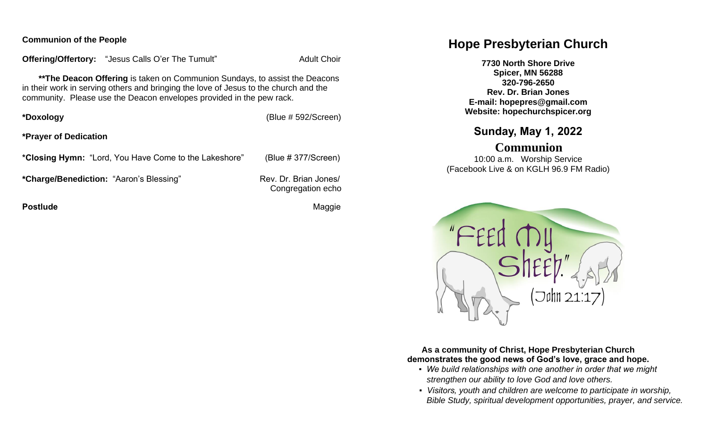#### **Communion of the People**

**Offering/Offertory:** "Jesus Calls O'er The Tumult" Adult Choir

 **\*\*The Deacon Offering** is taken on Communion Sundays, to assist the Deacons in their work in serving others and bringing the love of Jesus to the church and the community. Please use the Deacon envelopes provided in the pew rack.

**\*Doxology** (Blue # 592/Screen)

**\*Prayer of Dedication**

**\*Closing Hymn:** "Lord, You Have Come to the Lakeshore" (Blue # 377/Screen)

\*Charge/Benediction: "Aaron's Blessing" Rev. Dr. Brian Jones/

Congregation echo

**Postlude Contract Contract Contract Contract Contract Contract Contract Contract Contract Contract Contract Contract Contract Contract Contract Contract Contract Contract Contract Contract Contract Contract Contract Contr** 

# **Hope Presbyterian Church**

**7730 North Shore Drive Spicer, MN 56288 320-796-2650 Rev. Dr. Brian Jones E-mail: hopepres@gmail.com Website: hopechurchspicer.org**

## **Sunday, May 1, 2022**

## **Communion**

10:00 a.m. Worship Service (Facebook Live & on KGLH 96.9 FM Radio)



**As a community of Christ, Hope Presbyterian Church demonstrates the good news of God's love, grace and hope.**

- *We build relationships with one another in order that we might strengthen our ability to love God and love others.*
- *Visitors, youth and children are welcome to participate in worship, Bible Study, spiritual development opportunities, prayer, and service.*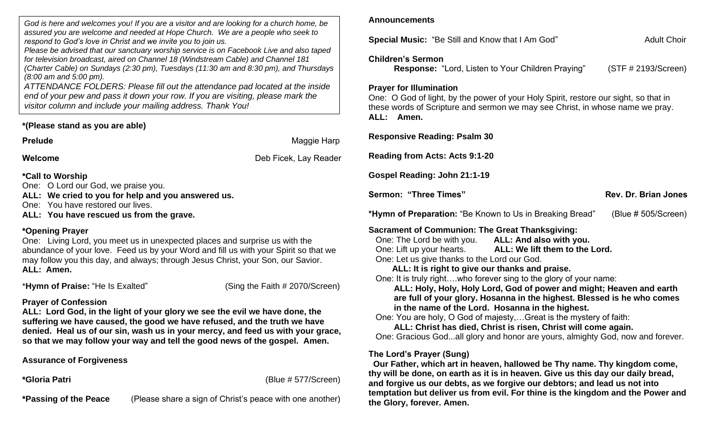*God is here and welcomes you! If you are a visitor and are looking for a church home, be assured you are welcome and needed at Hope Church. We are a people who seek to respond to God's love in Christ and we invite you to join us.*

*Please be advised that our sanctuary worship service is on Facebook Live and also taped for television broadcast, aired on Channel 18 (Windstream Cable) and Channel 181 (Charter Cable) on Sundays (2:30 pm), Tuesdays (11:30 am and 8:30 pm), and Thursdays (8:00 am and 5:00 pm).*

*ATTENDANCE FOLDERS: Please fill out the attendance pad located at the inside end of your pew and pass it down your row. If you are visiting, please mark the visitor column and include your mailing address. Thank You!*

## **\*(Please stand as you are able)**

**Prelude** Maggie Harp

**Welcome** Deb Ficek, Lay Reader

**\*Call to Worship**

One: O Lord our God, we praise you.

**ALL: We cried to you for help and you answered us.** 

One: You have restored our lives.

**ALL: You have rescued us from the grave.**

## **\*Opening Prayer**

One: Living Lord, you meet us in unexpected places and surprise us with the abundance of your love. Feed us by your Word and fill us with your Spirit so that we may follow you this day, and always; through Jesus Christ, your Son, our Savior. **ALL: Amen.**

\***Hymn of Praise:** "He Is Exalted" (Sing the Faith # 2070/Screen)

## **Prayer of Confession**

**ALL: Lord God, in the light of your glory we see the evil we have done, the suffering we have caused, the good we have refused, and the truth we have denied. Heal us of our sin, wash us in your mercy, and feed us with your grace, so that we may follow your way and tell the good news of the gospel. Amen.** 

## **Assurance of Forgiveness**

**\*Gloria Patri** (Blue # 577/Screen)

**\*Passing of the Peace** (Please share a sign of Christ's peace with one another)

#### **Announcements**

**Special Music:** "Be Still and Know that I Am God" Adult Choir

#### **Children's Sermon**

**Response:** "Lord, Listen to Your Children Praying" (STF # 2193/Screen)

#### **Prayer for Illumination**

One: O God of light, by the power of your Holy Spirit, restore our sight, so that in these words of Scripture and sermon we may see Christ, in whose name we pray. **ALL: Amen.**

**Responsive Reading: Psalm 30 Reading from Acts: Acts 9:1-20 Gospel Reading: John 21:1-19 Sermon: "Three Times" Community Community Rev. Dr. Brian Jones \*Hymn of Preparation:** "Be Known to Us in Breaking Bread" (Blue # 505/Screen) **Sacrament of Communion: The Great Thanksgiving:** One: The Lord be with you. **ALL: And also with you.** One: Lift up your hearts. **ALL: We lift them to the Lord.** One: Let us give thanks to the Lord our God. **ALL: It is right to give our thanks and praise.** One: It is truly right….who forever sing to the glory of your name:  **ALL: Holy, Holy, Holy Lord, God of power and might; Heaven and earth are full of your glory. Hosanna in the highest. Blessed is he who comes in the name of the Lord. Hosanna in the highest.** One: You are holy, O God of majesty,…Great is the mystery of faith: **ALL: Christ has died, Christ is risen, Christ will come again.** One: Gracious God...all glory and honor are yours, almighty God, now and forever. **The Lord's Prayer (Sung)**

 **Our Father, which art in heaven, hallowed be Thy name. Thy kingdom come, thy will be done, on earth as it is in heaven. Give us this day our daily bread, and forgive us our debts, as we forgive our debtors; and lead us not into temptation but deliver us from evil. For thine is the kingdom and the Power and the Glory, forever. Amen.**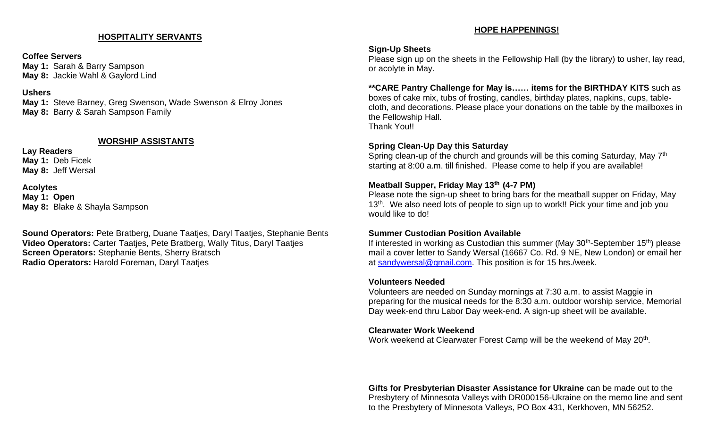## **HOSPITALITY SERVANTS**

#### **Coffee Servers**

**May 1:** Sarah & Barry Sampson **May 8:** Jackie Wahl & Gaylord Lind

#### **Ushers**

**May 1:** Steve Barney, Greg Swenson, Wade Swenson & Elroy Jones **May 8:** Barry & Sarah Sampson Family

#### **WORSHIP ASSISTANTS**

**Lay Readers May 1:** Deb Ficek **May 8:** Jeff Wersal

**Acolytes May 1: Open May 8:** Blake & Shayla Sampson

**Sound Operators:** Pete Bratberg, Duane Taatjes, Daryl Taatjes, Stephanie Bents **Video Operators:** Carter Taatjes, Pete Bratberg, Wally Titus, Daryl Taatjes **Screen Operators:** Stephanie Bents, Sherry Bratsch **Radio Operators:** Harold Foreman, Daryl Taatjes

#### **HOPE HAPPENINGS!**

### **Sign-Up Sheets**

Please sign up on the sheets in the Fellowship Hall (by the library) to usher, lay read, or acolyte in May.

**\*\*CARE Pantry Challenge for May is…… items for the BIRTHDAY KITS** such as boxes of cake mix, tubs of frosting, candles, birthday plates, napkins, cups, tablecloth, and decorations. Please place your donations on the table by the mailboxes in the Fellowship Hall. Thank You!!

## **Spring Clean-Up Day this Saturday**

Spring clean-up of the church and grounds will be this coming Saturday, May 7<sup>th</sup> starting at 8:00 a.m. till finished. Please come to help if you are available!

## **Meatball Supper, Friday May 13th (4-7 PM)**

Please note the sign-up sheet to bring bars for the meatball supper on Friday, May 13<sup>th</sup>. We also need lots of people to sign up to work!! Pick your time and job you would like to do!

## **Summer Custodian Position Available**

If interested in working as Custodian this summer (May 30<sup>th</sup>-September 15<sup>th</sup>) please mail a cover letter to Sandy Wersal (16667 Co. Rd. 9 NE, New London) or email her at [sandywersal@gmail.com.](mailto:sandywersal@gmail.com) This position is for 15 hrs./week.

## **Volunteers Needed**

Volunteers are needed on Sunday mornings at 7:30 a.m. to assist Maggie in preparing for the musical needs for the 8:30 a.m. outdoor worship service, Memorial Day week-end thru Labor Day week-end. A sign-up sheet will be available.

## **Clearwater Work Weekend**

Work weekend at Clearwater Forest Camp will be the weekend of May 20<sup>th</sup>.

**Gifts for Presbyterian Disaster Assistance for Ukraine** can be made out to the Presbytery of Minnesota Valleys with DR000156-Ukraine on the memo line and sent to the Presbytery of Minnesota Valleys, PO Box 431, Kerkhoven, MN 56252.